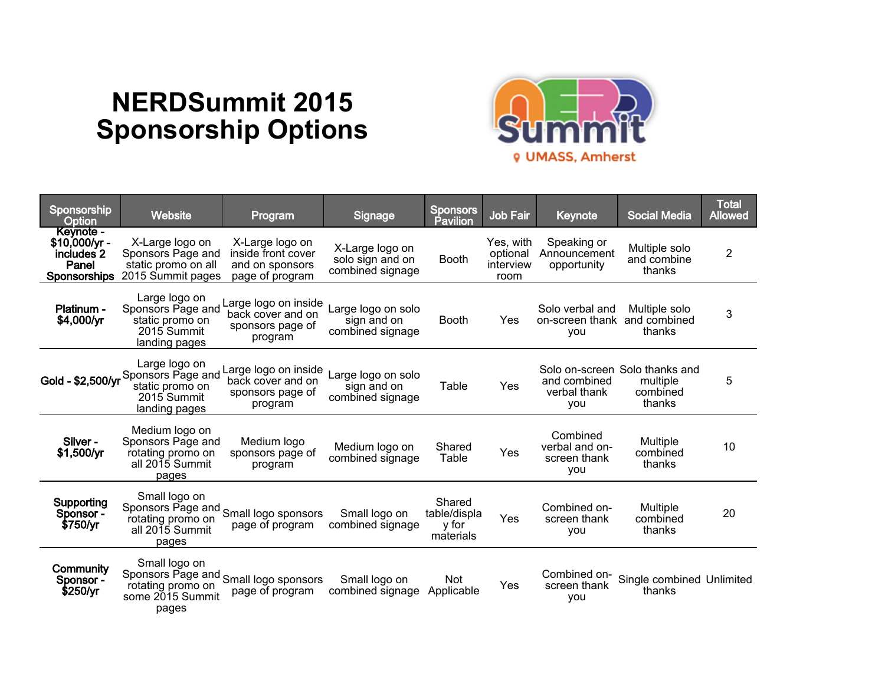## **NERDSummit 2015 Sponsorship Options**



| Sponsorship<br>Option                                                     | <b>Website</b>                                                                                           | Program                                                                     | Signage                                                 | <b>Sponsors</b><br>Pavilion                  | Job Fair                                   | Keynote                                           | <b>Social Media</b>                                              | <b>Total</b><br><b>Allowed</b> |
|---------------------------------------------------------------------------|----------------------------------------------------------------------------------------------------------|-----------------------------------------------------------------------------|---------------------------------------------------------|----------------------------------------------|--------------------------------------------|---------------------------------------------------|------------------------------------------------------------------|--------------------------------|
| <b>Kevnote -</b><br>$$10,000/yr -$<br>includes 2<br>Panel<br>Sponsorships | X-Large logo on<br>Sponsors Page and<br>static promo on all<br>2015 Summit pages                         | X-Large logo on<br>inside front cover<br>and on sponsors<br>page of program | X-Large logo on<br>solo sign and on<br>combined signage | <b>Booth</b>                                 | Yes, with<br>optional<br>interview<br>room | Speaking or<br>Announcement<br>opportunity        | Multiple solo<br>and combine<br>thanks                           | $\overline{2}$                 |
| Platinum -<br>\$4,000/yr                                                  | Large logo on<br>Sponsors Page and<br>static promo on<br>2015 Summit<br>landing pages                    | Large logo on inside<br>back cover and on<br>sponsors page of<br>program    | Large logo on solo<br>sign and on<br>combined signage   | <b>Booth</b>                                 | Yes                                        | Solo verbal and<br>on-screen thank<br>you         | Multiple solo<br>and combined<br>thanks                          | 3                              |
| Gold - \$2,500/yr                                                         | Large logo on<br>Sponsors Page and<br>static promo on<br>2015 Summit<br>landing pages                    | Large logo on inside<br>back cover and on<br>sponsors page of<br>program    | Large logo on solo<br>sign and on<br>combined signage   | Table                                        | Yes                                        | and combined<br>verbal thank<br>you               | Solo on-screen Solo thanks and<br>multiple<br>combined<br>thanks | 5                              |
| Silver-<br>\$1,500/yr                                                     | Medium logo on<br>Sponsors Page and<br>rotating promo on<br>all 2015 Summit<br>pages                     | Medium logo<br>sponsors page of<br>program                                  | Medium logo on<br>combined signage                      | Shared<br>Table                              | Yes                                        | Combined<br>verbal and on-<br>screen thank<br>you | Multiple<br>combined<br>thanks                                   | 10                             |
| Supporting<br>Sponsor -<br>\$750/yr                                       | Small logo on<br>Sponsors Page and Small logo sponsors<br>rotating promo on<br>all 2015 Summit<br>pages  | page of program                                                             | Small logo on<br>combined signage                       | Shared<br>table/displa<br>y for<br>materials | Yes                                        | Combined on-<br>screen thank<br><b>VOU</b>        | Multiple<br>combined<br>thanks                                   | 20                             |
| Community<br>Sponsor -<br>\$250/yr                                        | Small logo on<br>Sponsors Page and Small logo sponsors<br>rotating promo on<br>some 2015 Summit<br>pages | page of program                                                             | Small logo on<br>combined signage                       | <b>Not</b><br>Applicable                     | Yes                                        | Combined on-<br>screen thank<br>you               | Single combined Unlimited<br>thanks                              |                                |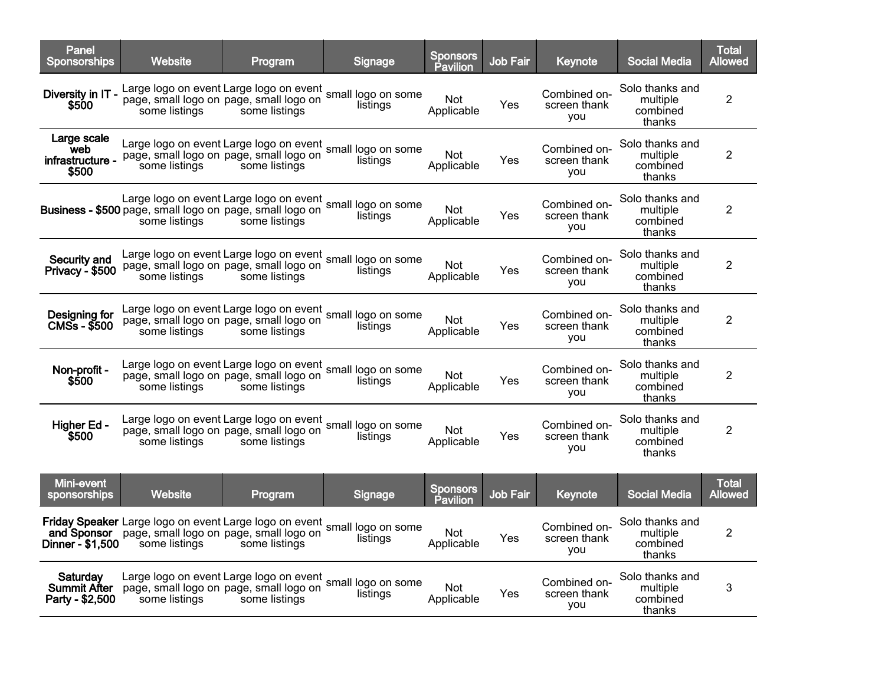| Panel<br><b>Sponsorships</b>                    | Website                                                                                                                                 | Program                                                  | <b>Signage</b>                 | <b>Sponsors</b><br>Pavilion | Job Fair        | Keynote                             | <b>Social Media</b>                               | <b>Total</b><br>Allowed |
|-------------------------------------------------|-----------------------------------------------------------------------------------------------------------------------------------------|----------------------------------------------------------|--------------------------------|-----------------------------|-----------------|-------------------------------------|---------------------------------------------------|-------------------------|
| Diversity in IT -<br>\$500                      | Large logo on event Large logo on event<br>some listings                                                                                | page, small logo on page, small logo on<br>some listings | small logo on some<br>listings | Not<br>Applicable           | Yes             | Combined on-<br>screen thank<br>you | Solo thanks and<br>multiple<br>combined<br>thanks | $\overline{2}$          |
| Large scale<br>web<br>infrastructure -<br>\$500 | Large logo on event Large logo on event small logo on some<br>some listings                                                             | page, small logo on page, small logo on<br>some listings | listings                       | <b>Not</b><br>Applicable    | Yes             | Combined on-<br>screen thank<br>you | Solo thanks and<br>multiple<br>combined<br>thanks | $\overline{2}$          |
|                                                 | Large logo on event Large logo on event small logo on some<br>Business - \$500 page, small logo on page, small logo on<br>some listings | some listings                                            | listings                       | <b>Not</b><br>Applicable    | Yes             | Combined on-<br>screen thank<br>you | Solo thanks and<br>multiple<br>combined<br>thanks | $\overline{2}$          |
| Security and<br><b>Privacy - \$500</b>          | Large logo on event Large logo on event small logo on some page, small logo on page, small logo on some<br>some listings                | some listings                                            | listings                       | <b>Not</b><br>Applicable    | Yes             | Combined on-<br>screen thank<br>you | Solo thanks and<br>multiple<br>combined<br>thanks | $\overline{2}$          |
| Designing for<br>$CMSs - $500$                  | Large logo on event Large logo on event small logo on some<br>some listings                                                             | page, small logo on page, small logo on<br>some listings | listings                       | <b>Not</b><br>Applicable    | Yes             | Combined on-<br>screen thank<br>you | Solo thanks and<br>multiple<br>combined<br>thanks | $\overline{2}$          |
| Non-profit -<br>\$500                           | Large logo on event Large logo on event small logo on some<br>some listings                                                             | page, small logo on page, small logo on<br>some listings | listings                       | Not.<br>Applicable          | Yes             | Combined on-<br>screen thank<br>you | Solo thanks and<br>multiple<br>combined<br>thanks | $\overline{2}$          |
| Higher Ed -<br>\$500                            | Large logo on event Large logo on event small logo on some<br>some listings                                                             | page, small logo on page, small logo on<br>some listings | listings                       | <b>Not</b><br>Applicable    | Yes             | Combined on-<br>screen thank<br>you | Solo thanks and<br>multiple<br>combined<br>thanks | $\overline{2}$          |
| Mini-event<br>sponsorships                      | Website                                                                                                                                 | Program                                                  | Signage                        | <b>Sponsors</b><br>Pavilion | <b>Job Fair</b> | Keynote                             | <b>Social Media</b>                               | Total<br>Allowed        |
| Dinner - \$1,500                                | Friday Speaker Large logo on event Large logo on event<br>and Sponsor page, small logo on page, small logo on<br>some listings          | some listings                                            | small logo on some<br>listings | Not.<br>Applicable          | Yes             | Combined on-<br>screen thank<br>you | Solo thanks and<br>multiple<br>combined<br>thanks | $\overline{\mathbf{c}}$ |
| Saturdav<br>Summit After<br>Party - \$2,500     | Large logo on event Large logo on event<br>page, small logo on page, small logo on<br>some listings                                     | some listings                                            | small logo on some<br>listings | Not.<br>Applicable          | Yes             | Combined on-<br>screen thank<br>you | Solo thanks and<br>multiple<br>combined<br>thanks | 3                       |